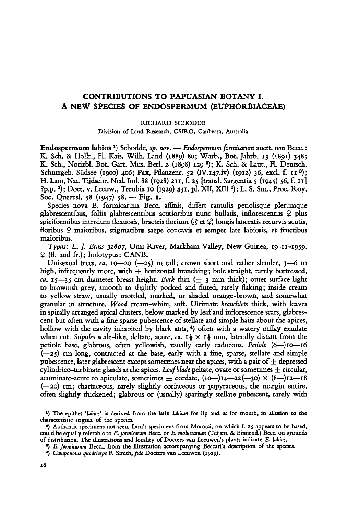## CONTRIBUTIONS TO PAPUASIAN BOTANY I. <sup>A</sup> new species of Endospermum (Euphorbiaceae)

## Richard Schodde

Division of Land Research, CSIRO, Canberra, Australia

Endospermum labios<sup>1</sup>) Schodde, sp. nov. - Endospermum formicarum auctt. non Becc.: K. Sch. & Hollr., Fl. Kais. Wilh. Land (1889) 80; Warb., Bot. Jahrb. <sup>13</sup> (1891) 348; K. Sch., Notizbl. Bot. Gart. Mus. Berl. <sup>2</sup> (1898) <sup>129</sup> ²); K. Sch. & Laut., Fl. Deutsch. Schutzgeb. Südsee (1900) 406; Pax, Pflanzenr. 52 (IV.147.iv) (1912) 36, excl. f. 11<sup>3</sup>); H. Lam, Nat. Tijdschr. Ned. Ind. <sup>88</sup> (1928) 211, f. <sup>25</sup> [transl. Sargentia <sup>5</sup> (1945) 56, f. II] ?p.p.²); Doct. v.Leeuw., Treubia <sup>10</sup> (1929) 431, pl. XII, XIII ²); L. S. Sm., Proc. Roy. Soc. Queensl. 58 (1947) 58. — Fig. I.

Species nova E. formicarum Becc. afhnis, differt ramulis petiolisque plerumque glabrescentibus, foliis glabrescentibus acutioribus nunc bullatis, inflorescentiis  $\varphi$  plus spiciformibus interdum flexuosis, bracteis florium ( $\sigma$  et  $\Omega$ ) longis lanceatis recurvis acutis, floribus  $\varphi$  maioribus, stigmatibus saepe concavis et semper late labiosis, et fructibus maioribus.

Typus: L. J. Brass 32607, Umi River, Markham Valley, New Guinea, 19-11-1959.  $\varphi$  (fl. and fr.); holotypus: CANB.

Unisexual trees, ca. 10—20 (—25) m tall; crown short and rather slender, 3—6 m high, infrequently more, with  $\pm$  horizontal branching; bole straight, rarely buttressed, ca. 15--35 cm diameter breast height. Bark thin  $(\pm 3$  mm thick); outer surface light to brownish grey, smooth to slightly pocked and fluted, rarely flaking; inside cream to yellow straw, usually mottled, marked, or shaded orange-brown, and somewhat granular in structure. Wood cream-white, soft. Ultimate branchlets thick, with leaves in spirally arranged apical clusters, belowmarked by leafand inflorescence scars, glabrescent but often with a fine sparse pubescence of stellate and simple hairs about the apices, hollow with the cavity inhabited by black ants, <sup>4</sup> ) often with <sup>a</sup> watery milky exudate when cut. Stipules scale-like, deltate, acute,  $ca.$   $I\frac{1}{2} \times I\frac{1}{2}$  mm, laterally distant from the petiole base, glabrous, often yellowish, usually early caducous. Petiole (6—)io—16 (—25) cm long, contracted at the base, early with <sup>a</sup> fine, sparse, stellate and simple pubescence, later glabrescent except sometimes near the apices, with a pair of  $\pm$  depressed cylindrico-turbinate glands at the apices. Leaf blade peltate, ovate or sometimes  $\pm$  circular, acuminate-acute to apiculate, sometimes  $\pm$  cordate, (10—)14—22(—30)  $\times$  (8—)12—18 (—22) cm; chartaceous, rarely slightly coriaceous or papyraceous, the margin entire, often slightly thickened; glabrous or (usually) sparingly stellate pubescent, rarely with

<sup>&</sup>lt;sup>1</sup>) The epithet 'labios' is derived from the latin labium for lip and os for mouth, in allusion to the characteristic stigma of the species.

<sup>2</sup> ) Authentic specimens not seen.Lam's specimens from Morotai, on which f. <sup>25</sup> appears to be based, could be equally referable to  $E$ . formicarum Becc. or  $E$ . moluccanum (Teijsm. & Binnend.) Becc. on grounds of distribution. The illustrations and locality of Docters van Leeuwen's plants indicate E. labios.

<sup>3</sup> ) E. formicarum Becc., from the illustration accompanying Beccari's description of the species.

<sup>4</sup> ) Camponotus quadriceps F. Smith,fide Docters vanLeeuwen (1929).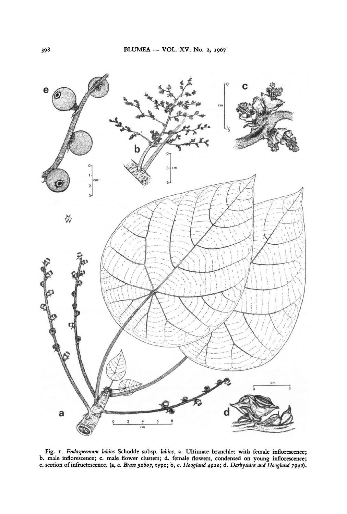

e. section of infructescence. (a, e. Brass 32607, type; b, c. Hoogland 4920; d. Darbyshire and Hoogland 7942). Fig. 1. Endospermum labios Schodde subsp. labios. a. Ultimate branchlet with female inflorescence; Fig. 1. *Endospermum labios* Schodde subsp. labios. a. Ultimate branchlet with female inflorescence; C. male flower clusters; d. female flowers, condensed on young inflorescence;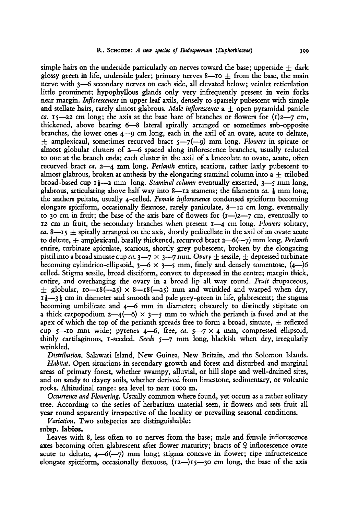simple hairs on the underside particularly on nerves toward the base; upperside  $\pm$  dark glossy green in life, underside paler; primary nerves 8—10  $\pm$  from the base, the main nerve with 3—6 secondary nerves on each side, all elevated below; veinlet reticulation little prominent; hypophyllous glands only very infrequently present in vein forks near margin. Inflorescences in upper leaf axils, densely to sparsely pubescent with simple and stellate hairs, rarely almost glabrous. Male inflorescence  $a \pm$  open pyramidal panicle ca. 15—22 cm long; the axis at the base bare of branches or flowers for  $(1)$ 2—7 cm, thickened, above bearing 6—8 lateral spirally arranged or sometimes sub-opposite branches, the lower ones  $4\rightarrow$  cm long, each in the axil of an ovate, acute to deltate,  $\pm$  amplexicaul, sometimes recurved bract  $5\rightarrow$ 7(--9) mm long. Flowers in spicate or almost globular clusters of 2—6 spaced along inflorescence branches, usually reduced to one at the branch ends; each cluster in the axil of <sup>a</sup> lanceolate to ovate, acute, often recurved bract ca. 2—4 mm long. Perianth entire, scarious, rather laxly pubescent to almost glabrous, broken at anthesis by the elongating staminal column into a  $\pm$  trilobed broad-based cup  $1\frac{1}{2}$ —2 mm long. Staminal column eventually exserted,  $3$ —5 mm long, glabrous, articulating above half way into 8—12 stamens; the filaments ca.  $\frac{1}{2}$  mm long, the anthers peltate, usually 4-celled. Female inflorescence Condensed spiciform becoming elongate spiciform, occasionally flexuose, rarely paniculate, 8—12 cm long, eventually to 30 cm in fruit; the base of the axis bare of flowers for  $(i-)$ 2—7 cm, eventually to <sup>12</sup> cm in fruit, the secondary branches when present 1—4 cm long. Flowers solitary, ca. 8—15  $\pm$  spirally arranged on the axis, shortly pedicellate in the axil of an ovate acute to deltate,  $\pm$  amplexicaul, basally thickened, recurved bract 2–6(--7) mm long. *Perianth* entire, turbinate apiculate, scarious, shortly grey pubescent, broken by the elongating pistil into a broad sinuate cup ca.  $3-7 \times 3-7$  mm. Ovary  $\pm$  sessile,  $\pm$  depressed turbinate becoming cylindrico-ellipsoid,  $3-6 \times 3-5$  mm, finely and densely tomentose,  $(4-)6$ celled. Stigma sessile, broad disciform, convex to depressed in the centre; margin thick, entire, and overhanging the ovary in <sup>a</sup> broad lip all way round. Fruit drupaceous,  $\pm$  globular, 10—18(—25)  $\times$  8—18(—25) mm and wrinkled and warped when dry,  $I_{\frac{1}{2}}$  cm in diameter and smooth and pale grey-green in life, glabrescent; the stigma becoming umbilicate and 4—6 mm in diameter; obscurely to distinctly stipitate on a thick carpopodium  $2-4(-6) \times 3-5$  mm to which the perianth is fused and at the apex of which the top of the perianth spreads free to form a broad, sinuate,  $\pm$  reflexed cup 5—10 mm wide; pyrenes 4—6, free, ca.  $5-7 \times 4$  mm, compressed ellipsoid, thinly cartilaginous, 1-seeded. Seeds  $5-7$  mm long, blackish when dry, irregularly wrinkled.

Distribution. Salawati Island, New Guinea, New Britain, and the Solomon Islands. Habitat. Open situations in secondary growth and forest and disturbed and marginal areas of primary forest, whether swampy, alluvial, or hill slope and well-drained sites, and on sandy to clayey soils, whether derived from limestone, sedimentary, or volcanic rocks. Altitudinal range: sea level to near iooo m.

Occurrence and Flowering. Usually common where found, yet occurs as a rather solitary tree. According to the series of herbarium material seen, it flowers and sets fruit all year round apparently irrespective of the locality or prevailing seasonal conditions.

Variation. Two subspecies are distinguishable: subsp. labios.

Leaves with 8, less often to <sup>10</sup> nerves from the base; male and female inflorescence axes becoming often glabrescent after flower maturity; bracts of  $\varphi$  inflorescence ovate acute to deltate,  $4-6(-7)$  mm long; stigma concave in flower; ripe infructescence elongate spiciform, occasionally flexuose,  $(12-)15$ —30 cm long, the base of the axis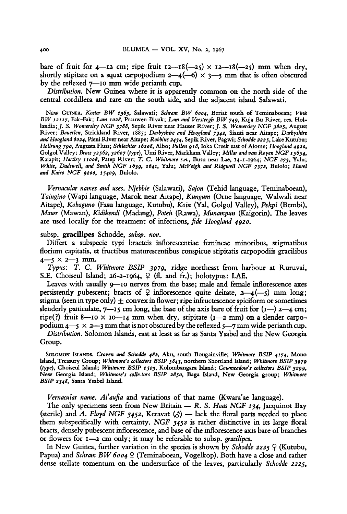bare of fruit for  $4$ —12 cm; ripe fruit  $12$ —18(—25) x  $12$ —18(—25) mm when dry, shortly stipitate on a squat carpopodium  $2-4(-6) \times 3-5$  mm that is often obscured by the reflexed 7—10 mm wide perianth cup.

Distribution. New Guinea where it is apparently common on the north side of the central cordillera and rare on the south side, and the adjacent island Salawati.

NEW GUINEA. Koster BW 1363, Salawati; Schram BW 6004, Beriat south of Teminaboean; Vink BW 12117, Fak-Fak; Lam 1028, Prauwen Bivak; Lam and Versteegh BW 749, Kuja Bu River, res. Hollandia; J. S. Womersley NGF 3788, Sepik River near Hauser River; J. S. Womersley NGF 3805, August River; Bauerlen, Strickland River, 1885; Darbyshire and Hoogland 7942, Siauti near Aitape; Darbyshire and Hoogland 8024, Pieni River near Aitape; Robbins 2434, Sepik River, Pagwi; Schodde 2225, Lake Kutubu; Hollrung 790, Augusta Fluss; Schlechter 16208, Albo; Pullen 918, Ioka Creek east of Aiome; Hoogland 4920, Golgol Valley; Brass 32562, 32607 (type), Umi River, Markham Valley; Millar and van Royen NGF 15654, Kaiapit; Hartley 11008, Patep River; T. C. Whitmore s.n., Busu nearLae, 14-1-1964; NGF 273, Yalu; White, Dadswell, and Smith NGF 1639, 1641, Yalu; McVeigh and Ridgwell NGF 7372, Bulolo; Havel and Kairo NGF 9200, 15409, Bulolo.

Vernacular names and uses. Njebbie (Salawati), Sajon (Tehid language, Teminaboean), Taingino (Wapi language, Marok near Aitape), Kungum (Orne language, Walwali near Aitape), Kobaguno (Fasu language, Kutubu), Koin (Yal, Golgol Valley), Pehpi (Bembi), Mawr (Mawan), Kidikendi (Madang), Poteh (Rawa), Munampun (Kaigorin). The leaves are used locally for the treatment of infections, fide Hoogland 4920.

subsp. gracilipes Schodde, subsp. nov.

Differt <sup>a</sup> subspecie typi bracteis inflorescentiae femineae minoribus, stigmatibus florium capitatis, et fructibus maturescentibus conspicue stipitatis carpopodiis gracilibus  $4 - 5 \times 2 - 3 \text{ mm}$ .

Typus: T. C. Whitmore BSIP 397g, ridge northeast from harbour at Ruruvai, S.E. Choiseul Island; 26-2-1964,  $\varphi$  (fl. and fr.); holotypus: LAE.

Leaves with usually 9—10 nerves from the base; male and female inflorescence axes persistently pubescent; bracts of  $\varphi$  inflorescence quite deltate,  $2-4(-5)$  mm long; stigma (seen in type only)  $\pm$  convex in flower; ripe infructescence spiciform or sometimes slenderly paniculate,  $7$ —15 cm long, the base of the axis bare of fruit for  $(1 - \frac{1}{2} - 4 \text{ cm})$ ; ripe(?) fruit 8-10  $\times$  10-14 mm when dry, stipitate (1-2 mm) on a slender carpo podium 4—5  $\times$  2—3 mm that is not obscured by the reflexed 5—7 mm wide perianth cup.

Distribution. Solomon Islands, east at least as far as Santa Ysabel and the New Georgia Group.

SOLOMON ISLANDS. Craven and Schodde 482, Aku, south Bougainville; Whitmore BSIP 4174, Mono Island, Treasury Group; Whitmore's collectors BSIP 5843, northern Shortland Island; Whitmore BSIP 3979 (type), Choiseul Island; Whitmore BSIP 1503, Kolombangara Island; Cowmeadow's collectors BSIP 3299, New Georgia Island; Whitmore's collectors BSIP 2850, Baga Island, New Georgia group; Whitmore BSIP 2348, Santa Ysabel Island.

Vernacular name. Ai'aufia and variations of that name (Kwara'ae language).

The only specimens seen from New Britain  $-R$ . S. Haas NGF 134, Jacquinot Bay (sterile) and A. Floyd NGF 3452, Keravat  $\langle \zeta \rangle$  — lack the floral parts needed to place them subspecifically with certainty. NGF <sup>3432</sup> is rather distinctive in its large floral bracts, densely pubescent inflorescence, and base of the inflorescence axis bare of branches or flowers for I—2 cm only; it may be referable to subsp. gracilipes.

In New Guinea, further variation in the species is shown by Schodde 2225  $\varphi$  (Kutubu, Papua) and Schram BW 6004  $\Omega$  (Teminaboean, Vogelkop). Both have a close and rather dense stellate tomentum on the undersurface of the leaves, particularly Schodde 2223,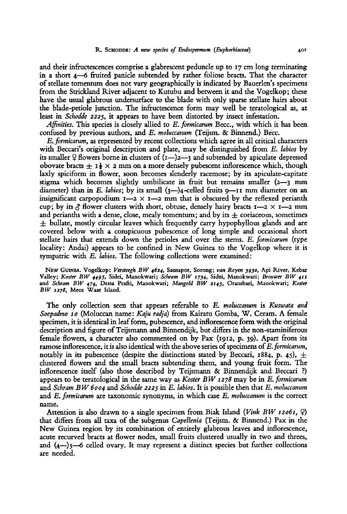and their infructescences comprise a glabrescent peduncle up to  $17 \text{ cm}$  long terminating in a short 4—6 fruited panicle subtended by rather foliosc bracts. That the character of stellate tomentum does not vary geographically is indicated by Bauerlen's specimens from the Strickland River adjacent to Kutubu and between it and the Vogelkop ; these have the usual glabrous undersurface to the blade with only sparse stellate hairs about the blade-petiole junction. The infructescence form may well be tcratological as, at least in Schodde 2225, it appears to have been distorted by insect infestation.

Affinities. This species is closely allied to  $E$ . formicarum Becc., with which it has been confused by previous authors, and E. moluccanum (Teijsm. & Binnend.) Becc.

E. formicarum, as represented by recent collections which agree in all critical characters with Beccari's original description and plate, may be distinguished from E. labios by its smaller  $\varphi$  flowers borne in clusters of  $(I-)$ 2—3 and subtended by apiculate depressed obovate bracts  $\pm$  1  $\frac{1}{2}$   $\times$  2 mm on a more densely pubescent inflorescence which, though laxly spiciform in flower, soon becomes slenderly racemose; by its apiculate-capitate stigma which becomes slightly umbilicate in fruit but remains smaller (2—3 mm diameter) than in E. labios; by its small  $(3-)$ 4-celled fruits  $9$ — $11$  mm diameter on an insignificant carpopodium  $1-2 \times 1-2$  mm that is obscured by the reflexed perianth cup; by its  $\zeta$  flower clusters with short, obtuse, densely hairy bracts  $I \rightarrow \zeta$  I- $\to$  mm and perianths with a dense, close, mealy tomentum; and by its  $\pm$  coriaceous, sometimes  $\pm$  bullate, mostly circular leaves which frequently carry hypophyllous glands and are covered below with <sup>a</sup> conspicuous pubescence of long simple and occasional short stellate hairs that extends down the petioles and over the stems. E. formicarum (type locality: Andai) appears to be confined in New Guinea to the Vogelkop where it is sympatric with E. labios. The following collections were examined:

NEW GUINEA. Vogelkop: Versteegh BW 4624, Sausapor, Sorong; van Royen 3930, Api River, Kebar Valley; Koster BW 4495, Sidei, Manokwari; Schram BW '734, Sidei, Manokwari; Brouwer BW <sup>411</sup> and Schram BW 474, Dessa Prafti, Manokwari; Mangold BW 2145, Oransbari, Manokwari; Koster BW 1278, Meos Waar Island.

The only collection seen that appears referable to E. moluccanum is Kuswata and Soepadmo <sup>10</sup> (Moluccan name: Kaju radja) from Kairatu Gomba, W. Ceram. A female specimen, it is identical in leafform, pubescence, and inflorescence form with the original description and figure of Teijsmann and Binnendijk, but differs in the non-staminiferous female flowers, <sup>a</sup> character also commented on by Pax (1912, p. 39). Apart from its ramose inflorescence, it is also identical with the above series of specimens of E. formicarum, notably in its pubescence (despite the distinctions stated by Beccari, 1884, p. 45),  $\pm$ clustered flowers and the small bracts subtending them, and young fruit form. The inflorescence itself (also those described by Teijsmann & Binnendijk and Beccari ?) appears to be teratological in the same way as Koster BW 1278 may be in E. formicarum and Schram BW 6004 and Schodde 2225 in E. labios. It is possible then that E. moluccanum and E. formicarum are taxonomic synonyms, in which case E. moluccanum is the correct name.

Attention is also drawn to a single specimen from Biak Island (Vink BW 12061,  $\varphi$ ) that differs from all taxa of the subgenus *Capellenia* (Teijsm.  $\&$  Binnend.) Pax in the New Guinea region by its combination of entirely glabrous leaves and inflorescence, acute recurved bracts at flower nodes, small fruits clustered usually in two and threes, and  $(4-)$ 5—6 celled ovary. It may represent a distinct species but further collections are needed.